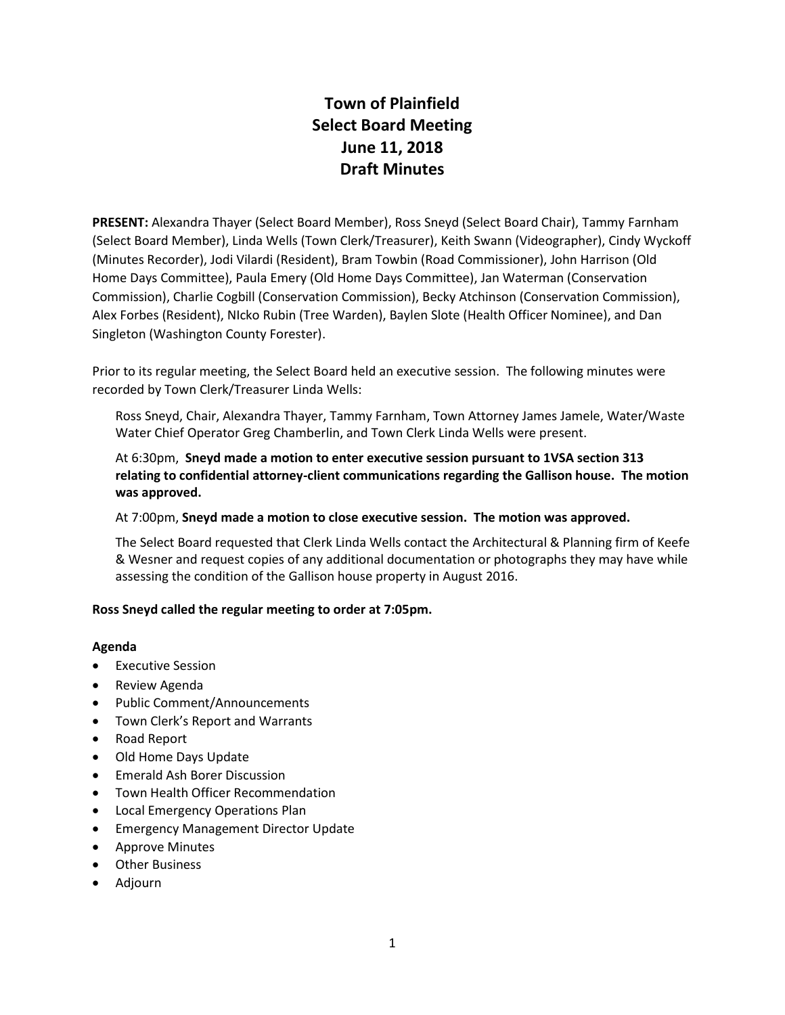# **Town of Plainfield Select Board Meeting June 11, 2018 Draft Minutes**

**PRESENT:** Alexandra Thayer (Select Board Member), Ross Sneyd (Select Board Chair), Tammy Farnham (Select Board Member), Linda Wells (Town Clerk/Treasurer), Keith Swann (Videographer), Cindy Wyckoff (Minutes Recorder), Jodi Vilardi (Resident), Bram Towbin (Road Commissioner), John Harrison (Old Home Days Committee), Paula Emery (Old Home Days Committee), Jan Waterman (Conservation Commission), Charlie Cogbill (Conservation Commission), Becky Atchinson (Conservation Commission), Alex Forbes (Resident), NIcko Rubin (Tree Warden), Baylen Slote (Health Officer Nominee), and Dan Singleton (Washington County Forester).

Prior to its regular meeting, the Select Board held an executive session. The following minutes were recorded by Town Clerk/Treasurer Linda Wells:

Ross Sneyd, Chair, Alexandra Thayer, Tammy Farnham, Town Attorney James Jamele, Water/Waste Water Chief Operator Greg Chamberlin, and Town Clerk Linda Wells were present.

At 6:30pm, **Sneyd made a motion to enter executive session pursuant to 1VSA section 313 relating to confidential attorney-client communications regarding the Gallison house. The motion was approved.**

#### At 7:00pm, **Sneyd made a motion to close executive session. The motion was approved.**

The Select Board requested that Clerk Linda Wells contact the Architectural & Planning firm of Keefe & Wesner and request copies of any additional documentation or photographs they may have while assessing the condition of the Gallison house property in August 2016.

#### **Ross Sneyd called the regular meeting to order at 7:05pm.**

#### **Agenda**

- Executive Session
- Review Agenda
- Public Comment/Announcements
- Town Clerk's Report and Warrants
- Road Report
- Old Home Days Update
- Emerald Ash Borer Discussion
- Town Health Officer Recommendation
- Local Emergency Operations Plan
- **•** Emergency Management Director Update
- Approve Minutes
- Other Business
- Adjourn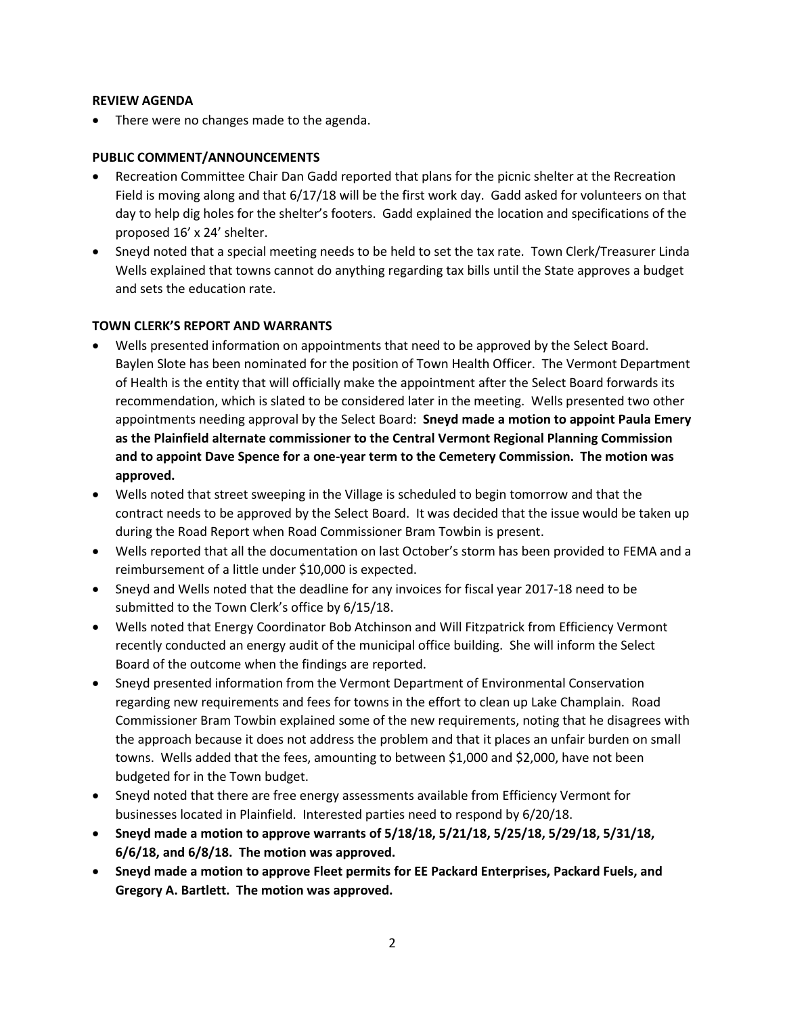#### **REVIEW AGENDA**

There were no changes made to the agenda.

# **PUBLIC COMMENT/ANNOUNCEMENTS**

- Recreation Committee Chair Dan Gadd reported that plans for the picnic shelter at the Recreation Field is moving along and that 6/17/18 will be the first work day. Gadd asked for volunteers on that day to help dig holes for the shelter's footers. Gadd explained the location and specifications of the proposed 16' x 24' shelter.
- Sneyd noted that a special meeting needs to be held to set the tax rate. Town Clerk/Treasurer Linda Wells explained that towns cannot do anything regarding tax bills until the State approves a budget and sets the education rate.

# **TOWN CLERK'S REPORT AND WARRANTS**

- Wells presented information on appointments that need to be approved by the Select Board. Baylen Slote has been nominated for the position of Town Health Officer. The Vermont Department of Health is the entity that will officially make the appointment after the Select Board forwards its recommendation, which is slated to be considered later in the meeting. Wells presented two other appointments needing approval by the Select Board: **Sneyd made a motion to appoint Paula Emery as the Plainfield alternate commissioner to the Central Vermont Regional Planning Commission and to appoint Dave Spence for a one-year term to the Cemetery Commission. The motion was approved.**
- Wells noted that street sweeping in the Village is scheduled to begin tomorrow and that the contract needs to be approved by the Select Board. It was decided that the issue would be taken up during the Road Report when Road Commissioner Bram Towbin is present.
- Wells reported that all the documentation on last October's storm has been provided to FEMA and a reimbursement of a little under \$10,000 is expected.
- Sneyd and Wells noted that the deadline for any invoices for fiscal year 2017-18 need to be submitted to the Town Clerk's office by 6/15/18.
- Wells noted that Energy Coordinator Bob Atchinson and Will Fitzpatrick from Efficiency Vermont recently conducted an energy audit of the municipal office building. She will inform the Select Board of the outcome when the findings are reported.
- Sneyd presented information from the Vermont Department of Environmental Conservation regarding new requirements and fees for towns in the effort to clean up Lake Champlain. Road Commissioner Bram Towbin explained some of the new requirements, noting that he disagrees with the approach because it does not address the problem and that it places an unfair burden on small towns. Wells added that the fees, amounting to between \$1,000 and \$2,000, have not been budgeted for in the Town budget.
- Sneyd noted that there are free energy assessments available from Efficiency Vermont for businesses located in Plainfield. Interested parties need to respond by 6/20/18.
- **Sneyd made a motion to approve warrants of 5/18/18, 5/21/18, 5/25/18, 5/29/18, 5/31/18, 6/6/18, and 6/8/18. The motion was approved.**
- **Sneyd made a motion to approve Fleet permits for EE Packard Enterprises, Packard Fuels, and Gregory A. Bartlett. The motion was approved.**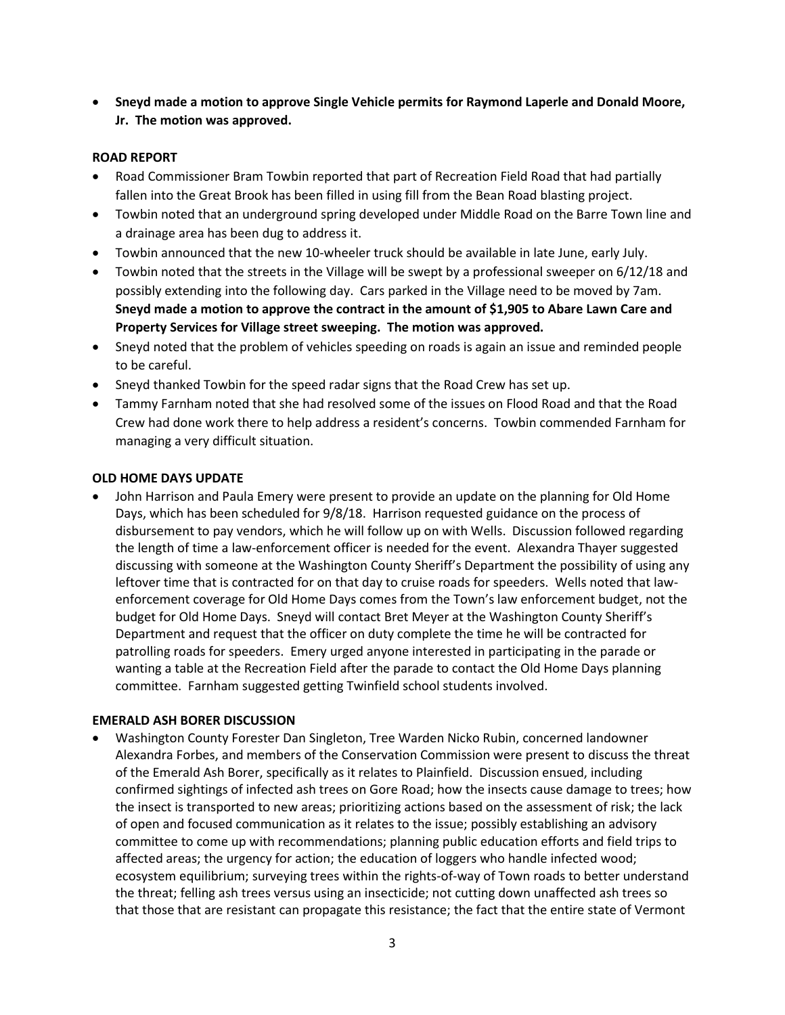**Sneyd made a motion to approve Single Vehicle permits for Raymond Laperle and Donald Moore, Jr. The motion was approved.** 

## **ROAD REPORT**

- Road Commissioner Bram Towbin reported that part of Recreation Field Road that had partially fallen into the Great Brook has been filled in using fill from the Bean Road blasting project.
- Towbin noted that an underground spring developed under Middle Road on the Barre Town line and a drainage area has been dug to address it.
- Towbin announced that the new 10-wheeler truck should be available in late June, early July.
- Towbin noted that the streets in the Village will be swept by a professional sweeper on 6/12/18 and possibly extending into the following day. Cars parked in the Village need to be moved by 7am. **Sneyd made a motion to approve the contract in the amount of \$1,905 to Abare Lawn Care and Property Services for Village street sweeping. The motion was approved.**
- Sneyd noted that the problem of vehicles speeding on roads is again an issue and reminded people to be careful.
- Sneyd thanked Towbin for the speed radar signs that the Road Crew has set up.
- Tammy Farnham noted that she had resolved some of the issues on Flood Road and that the Road Crew had done work there to help address a resident's concerns. Towbin commended Farnham for managing a very difficult situation.

#### **OLD HOME DAYS UPDATE**

 John Harrison and Paula Emery were present to provide an update on the planning for Old Home Days, which has been scheduled for 9/8/18. Harrison requested guidance on the process of disbursement to pay vendors, which he will follow up on with Wells. Discussion followed regarding the length of time a law-enforcement officer is needed for the event. Alexandra Thayer suggested discussing with someone at the Washington County Sheriff's Department the possibility of using any leftover time that is contracted for on that day to cruise roads for speeders. Wells noted that lawenforcement coverage for Old Home Days comes from the Town's law enforcement budget, not the budget for Old Home Days. Sneyd will contact Bret Meyer at the Washington County Sheriff's Department and request that the officer on duty complete the time he will be contracted for patrolling roads for speeders. Emery urged anyone interested in participating in the parade or wanting a table at the Recreation Field after the parade to contact the Old Home Days planning committee. Farnham suggested getting Twinfield school students involved.

#### **EMERALD ASH BORER DISCUSSION**

 Washington County Forester Dan Singleton, Tree Warden Nicko Rubin, concerned landowner Alexandra Forbes, and members of the Conservation Commission were present to discuss the threat of the Emerald Ash Borer, specifically as it relates to Plainfield. Discussion ensued, including confirmed sightings of infected ash trees on Gore Road; how the insects cause damage to trees; how the insect is transported to new areas; prioritizing actions based on the assessment of risk; the lack of open and focused communication as it relates to the issue; possibly establishing an advisory committee to come up with recommendations; planning public education efforts and field trips to affected areas; the urgency for action; the education of loggers who handle infected wood; ecosystem equilibrium; surveying trees within the rights-of-way of Town roads to better understand the threat; felling ash trees versus using an insecticide; not cutting down unaffected ash trees so that those that are resistant can propagate this resistance; the fact that the entire state of Vermont